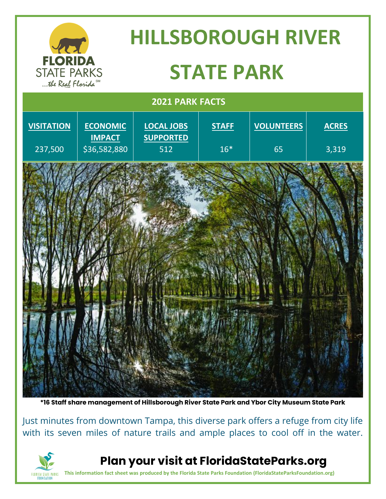

**\*16 Staff share management of Hillsborough River State Park and Ybor City Museum State Park**

Just minutes from downtown Tampa, this diverse park offers a refuge from city life with its seven miles of nature trails and ample places to cool off in the water.



**Plan your visit at FloridaStateParks.org**

**This information fact sheet was produced by the Florida State Parks Foundation (FloridaStateParksFoundation.org)**